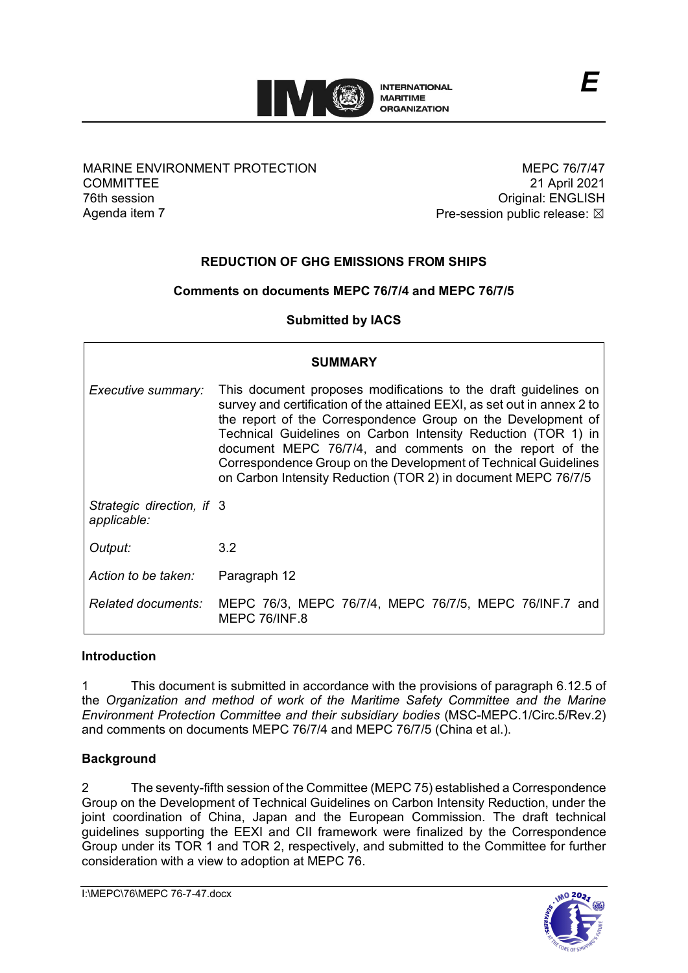

### MARINE ENVIRONMENT PROTECTION **COMMITTEE** 76th session Agenda item 7

MEPC 76/7/47 21 April 2021 Original: ENGLISH Pre-session public release:  $\boxtimes$ 

# **REDUCTION OF GHG EMISSIONS FROM SHIPS**

### **Comments on documents MEPC 76/7/4 and MEPC 76/7/5**

**Submitted by IACS**

| <b>SUMMARY</b>                           |                                                                                                                                                                                                                                                                                                                                                                                                                                                                            |
|------------------------------------------|----------------------------------------------------------------------------------------------------------------------------------------------------------------------------------------------------------------------------------------------------------------------------------------------------------------------------------------------------------------------------------------------------------------------------------------------------------------------------|
| Executive summary:                       | This document proposes modifications to the draft guidelines on<br>survey and certification of the attained EEXI, as set out in annex 2 to<br>the report of the Correspondence Group on the Development of<br>Technical Guidelines on Carbon Intensity Reduction (TOR 1) in<br>document MEPC 76/7/4, and comments on the report of the<br>Correspondence Group on the Development of Technical Guidelines<br>on Carbon Intensity Reduction (TOR 2) in document MEPC 76/7/5 |
| Strategic direction, if 3<br>applicable: |                                                                                                                                                                                                                                                                                                                                                                                                                                                                            |
| Output:                                  | 3.2                                                                                                                                                                                                                                                                                                                                                                                                                                                                        |
| Action to be taken:                      | Paragraph 12                                                                                                                                                                                                                                                                                                                                                                                                                                                               |
| <i>Related documents:</i>                | MEPC 76/3, MEPC 76/7/4, MEPC 76/7/5, MEPC 76/INF.7 and<br>MEPC 76/INF.8                                                                                                                                                                                                                                                                                                                                                                                                    |

### **Introduction**

1 This document is submitted in accordance with the provisions of paragraph 6.12.5 of the *Organization and method of work of the Maritime Safety Committee and the Marine Environment Protection Committee and their subsidiary bodies* (MSC-MEPC.1/Circ.5/Rev.2) and comments on documents MEPC 76/7/4 and MEPC 76/7/5 (China et al.).

## **Background**

2 The seventy-fifth session of the Committee (MEPC 75) established a Correspondence Group on the Development of Technical Guidelines on Carbon Intensity Reduction, under the joint coordination of China, Japan and the European Commission. The draft technical guidelines supporting the EEXI and CII framework were finalized by the Correspondence Group under its TOR 1 and TOR 2, respectively, and submitted to the Committee for further consideration with a view to adoption at MEPC 76.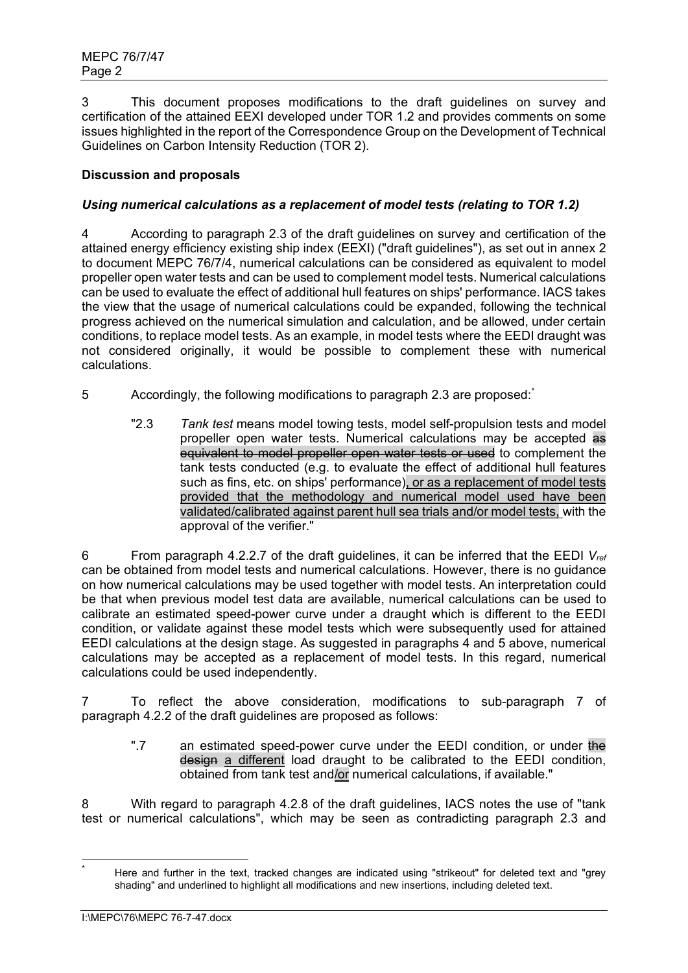3 This document proposes modifications to the draft guidelines on survey and certification of the attained EEXI developed under TOR 1.2 and provides comments on some issues highlighted in the report of the Correspondence Group on the Development of Technical Guidelines on Carbon Intensity Reduction (TOR 2).

# **Discussion and proposals**

## *Using numerical calculations as a replacement of model tests (relating to TOR 1.2)*

4 According to paragraph 2.3 of the draft guidelines on survey and certification of the attained energy efficiency existing ship index (EEXI) ("draft guidelines"), as set out in annex 2 to document MEPC 76/7/4, numerical calculations can be considered as equivalent to model propeller open water tests and can be used to complement model tests. Numerical calculations can be used to evaluate the effect of additional hull features on ships' performance. IACS takes the view that the usage of numerical calculations could be expanded, following the technical progress achieved on the numerical simulation and calculation, and be allowed, under certain conditions, to replace model tests. As an example, in model tests where the EEDI draught was not considered originally, it would be possible to complement these with numerical calculations.

- 5 **Accordingly, the following modifications to paragraph 2.3 are proposed:** 
	- "2.3 *Tank test* means model towing tests, model self-propulsion tests and model propeller open water tests. Numerical calculations may be accepted as equivalent to model propeller open water tests or used to complement the tank tests conducted (e.g. to evaluate the effect of additional hull features such as fins, etc. on ships' performance), or as a replacement of model tests provided that the methodology and numerical model used have been validated/calibrated against parent hull sea trials and/or model tests, with the approval of the verifier."

6 From paragraph 4.2.2.7 of the draft guidelines, it can be inferred that the EEDI *Vref* can be obtained from model tests and numerical calculations. However, there is no guidance on how numerical calculations may be used together with model tests. An interpretation could be that when previous model test data are available, numerical calculations can be used to calibrate an estimated speed-power curve under a draught which is different to the EEDI condition, or validate against these model tests which were subsequently used for attained EEDI calculations at the design stage. As suggested in paragraphs 4 and 5 above, numerical calculations may be accepted as a replacement of model tests. In this regard, numerical calculations could be used independently.

7 To reflect the above consideration, modifications to sub-paragraph 7 of paragraph 4.2.2 of the draft guidelines are proposed as follows:

".7 an estimated speed-power curve under the EEDI condition, or under the design a different load draught to be calibrated to the EEDI condition, obtained from tank test and/or numerical calculations, if available."

8 With regard to paragraph 4.2.8 of the draft guidelines, IACS notes the use of "tank test or numerical calculations", which may be seen as contradicting paragraph 2.3 and

<span id="page-1-0"></span>Here and further in the text, tracked changes are indicated using "strikeout" for deleted text and "grey shading" and underlined to highlight all modifications and new insertions, including deleted text.